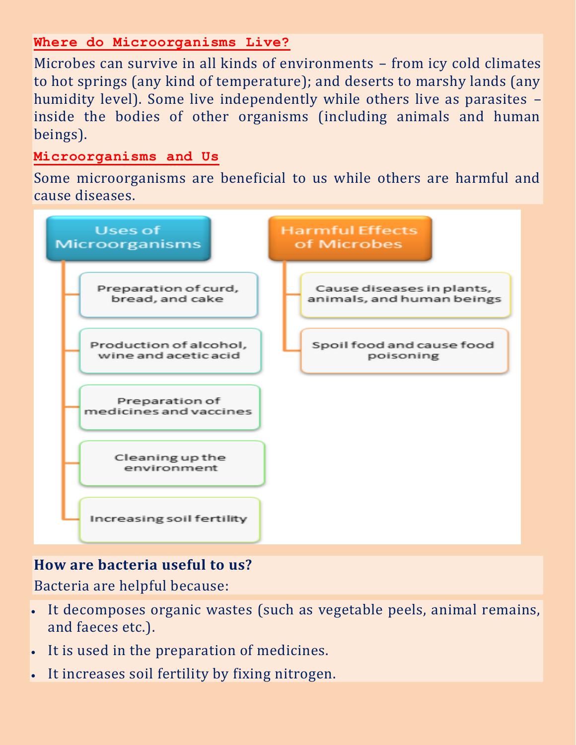### **Where do Microorganisms Live?**

Microbes can survive in all kinds of environments – from icy cold climates to hot springs (any kind of temperature); and deserts to marshy lands (any humidity level). Some live independently while others live as parasites – inside the bodies of other organisms (including animals and human beings).

#### **Microorganisms and Us**

Some microorganisms are beneficial to us while others are harmful and cause diseases.



## **How are bacteria useful to us?**

Bacteria are helpful because:

- It decomposes organic wastes (such as vegetable peels, animal remains, and faeces etc.).
- It is used in the preparation of medicines.
- It increases soil fertility by fixing nitrogen.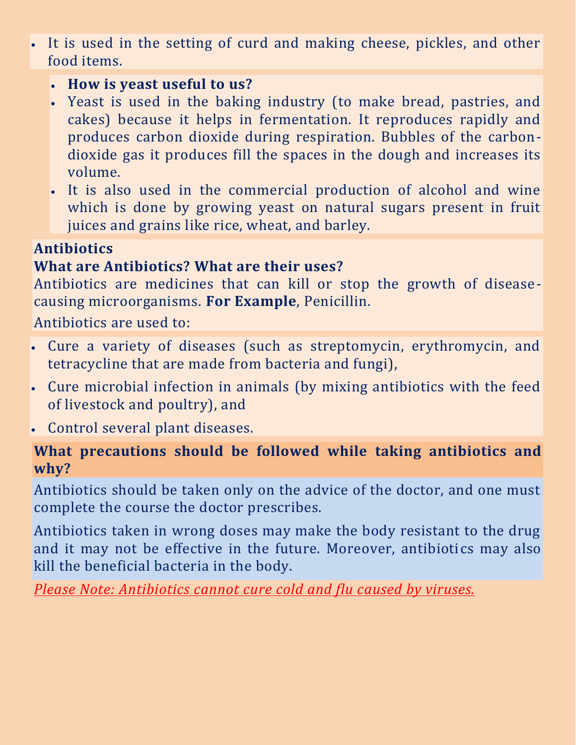It is used in the setting of curd and making cheese, pickles, and other food items.

## **How is yeast useful to us?**

- Yeast is used in the baking industry (to make bread, pastries, and cakes) because it helps in fermentation. It reproduces rapidly and produces carbon dioxide during respiration. Bubbles of the carbondioxide gas it produces fill the spaces in the dough and increases its volume.
- It is also used in the commercial production of alcohol and wine which is done by growing yeast on natural sugars present in fruit juices and grains like rice, wheat, and barley.

# **Antibiotics**

# **What are Antibiotics? What are their uses?**

Antibiotics are medicines that can kill or stop the growth of diseasecausing microorganisms. **For Example**, Penicillin.

Antibiotics are used to:

- Cure a variety of diseases (such as streptomycin, erythromycin, and tetracycline that are made from bacteria and fungi),
- Cure microbial infection in animals (by mixing antibiotics with the feed of livestock and poultry), and
- Control several plant diseases.

# **What precautions should be followed while taking antibiotics and why?**

Antibiotics should be taken only on the advice of the doctor, and one must complete the course the doctor prescribes.

Antibiotics taken in wrong doses may make the body resistant to the drug and it may not be effective in the future. Moreover, antibiotics may also kill the beneficial bacteria in the body.

*Please Note: Antibiotics cannot cure cold and flu caused by viruses.*